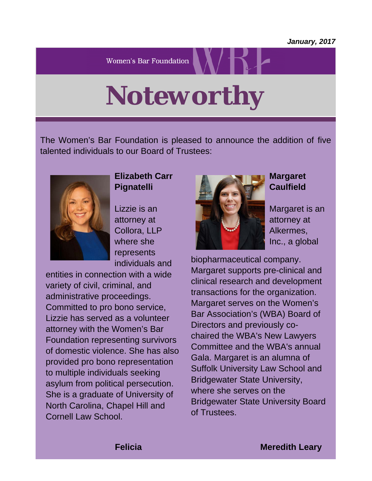**Women's Bar Foundation** 

*Noteworthy*

The Women's Bar Foundation is pleased to announce the addition of five talented individuals to our Board of Trustees:



### **Elizabeth Carr Pignatelli**

Lizzie is an attorney at Collora, LLP where she represents individuals and

entities in connection with a wide variety of civil, criminal, and administrative proceedings. Committed to pro bono service, Lizzie has served as a volunteer attorney with the Women's Bar Foundation representing survivors of domestic violence. She has also provided pro bono representation to multiple individuals seeking asylum from political persecution. She is a graduate of University of North Carolina, Chapel Hill and Cornell Law School.



### **Margaret Caulfield**

Margaret is an attorney at Alkermes, Inc., a global

biopharmaceutical company. Margaret supports pre-clinical and clinical research and development transactions for the organization. Margaret serves on the Women's Bar Association's (WBA) Board of Directors and previously cochaired the WBA's New Lawyers Committee and the WBA's annual Gala. Margaret is an alumna of Suffolk University Law School and Bridgewater State University, where she serves on the Bridgewater State University Board of Trustees.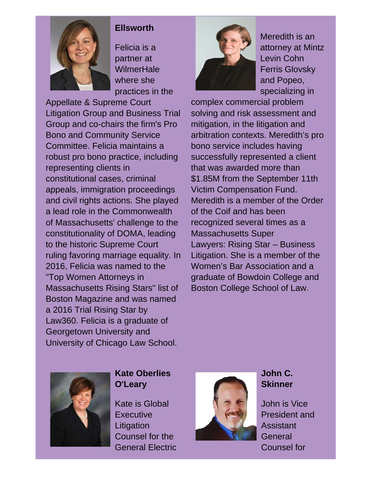

### **Ellsworth**

Felicia is a partner at **WilmerHale** where she practices in the

Appellate & Supreme Court Litigation Group and Business Trial Group and co-chairs the firm's Pro Bono and Community Service Committee. Felicia maintains a robust pro bono practice, including representing clients in constitutional cases, criminal appeals, immigration proceedings and civil rights actions. She played a lead role in the Commonwealth of Massachusetts' challenge to the constitutionality of DOMA, leading to the historic Supreme Court ruling favoring marriage equality. In 2016, Felicia was named to the "Top Women Attorneys in Massachusetts Rising Stars" list of Boston Magazine and was named a 2016 Trial Rising Star by Law360. Felicia is a graduate of Georgetown University and University of Chicago Law School.



Meredith is an attorney at Mintz Levin Cohn Ferris Glovsky and Popeo, specializing in

complex commercial problem solving and risk assessment and mitigation, in the litigation and arbitration contexts. Meredith's pro bono service includes having successfully represented a client that was awarded more than \$1.85M from the September 11th Victim Compensation Fund. Meredith is a member of the Order of the Coif and has been recognized several times as a Massachusetts Super Lawyers: Rising Star – Business Litigation. She is a member of the Women's Bar Association and a graduate of Bowdoin College and Boston College School of Law.



## **Kate Oberlies O'Leary**

Kate is Global **Executive Litigation** Counsel for the General Electric



## **John C. Skinner**

John is Vice President and **Assistant General** Counsel for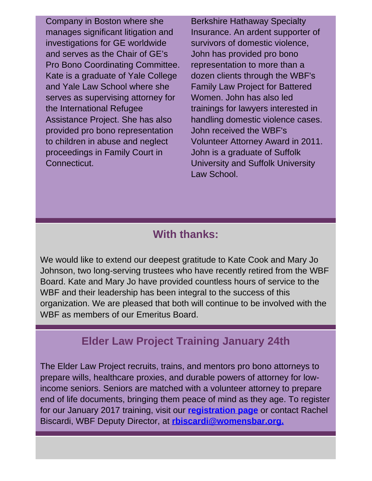Company in Boston where she manages significant litigation and investigations for GE worldwide and serves as the Chair of GE's Pro Bono Coordinating Committee. Kate is a graduate of Yale College and Yale Law School where she serves as supervising attorney for the International Refugee Assistance Project. She has also provided pro bono representation to children in abuse and neglect proceedings in Family Court in Connecticut.

Berkshire Hathaway Specialty Insurance. An ardent supporter of survivors of domestic violence, John has provided pro bono representation to more than a dozen clients through the WBF's Family Law Project for Battered Women. John has also led trainings for lawyers interested in handling domestic violence cases. John received the WBF's Volunteer Attorney Award in 2011. John is a graduate of Suffolk University and Suffolk University Law School.

# **With thanks:**

We would like to extend our deepest gratitude to Kate Cook and Mary Jo Johnson, two long-serving trustees who have recently retired from the WBF Board. Kate and Mary Jo have provided countless hours of service to the WBF and their leadership has been integral to the success of this organization. We are pleased that both will continue to be involved with the WBF as members of our Emeritus Board.

# **Elder Law Project Training January 24th**

The Elder Law Project recruits, trains, and mentors pro bono attorneys to prepare wills, healthcare proxies, and durable powers of attorney for lowincome seniors. Seniors are matched with a volunteer attorney to prepare end of life documents, bringing them peace of mind as they age. To register for our January 2017 training, visit our **[registration](https://wbawbf.org/content/wbf/womens-bar-foundation-elder-law-project) [page](https://wbawbf.org/content/wbf/womens-bar-foundation-elder-law-project)** or contact Rachel Biscardi, WBF Deputy Director, at **[rbiscardi@womensbar.org.](mailto:rbiscardi@womensbar.org)**